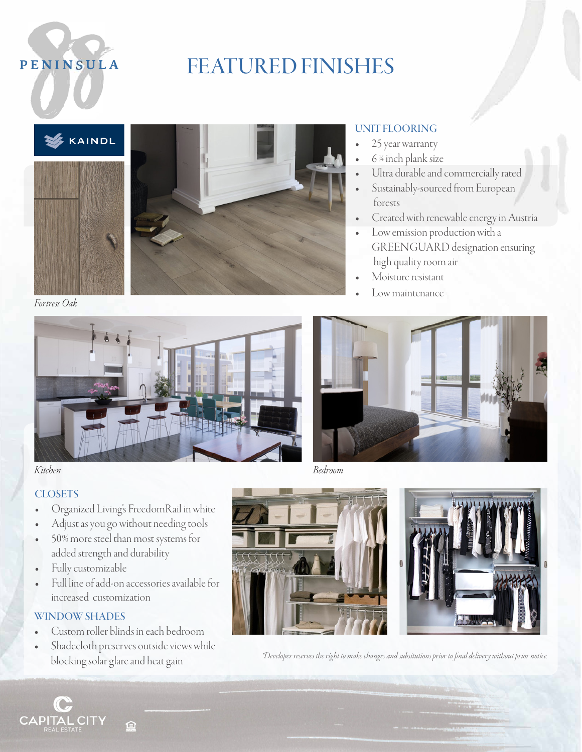

### PENINSULA **FEATURED FINISHES**





### UNIT FLOORING

- 25 year warranty
- 6 <sup>14</sup> inch plank size
- Ultra durable and commercially rated
- Sustainably-sourced from European forests
- Created with renewable energy in Austria
- Low emission production with a GREENGUARD designation ensuring high quality room air
- Moisture resistant
- Low maintenance

*Fortress Oak* 





### **CLOSETS**

- Organized Living's FreedomRail in white
- Adjust as you go without needing tools
- 50% more steel than most systems for added strength and durability
- Fully customizable
- Full line of add-on accessories available for increased customization

### WINDOW SHADES

- Custom roller blinds in each bedroom
- Shadecloth preserves outside views while







blocking solar glare and heat gain *\*Developer reserves the right to make changes and subsitutions prior to final delivery without prior notice.*

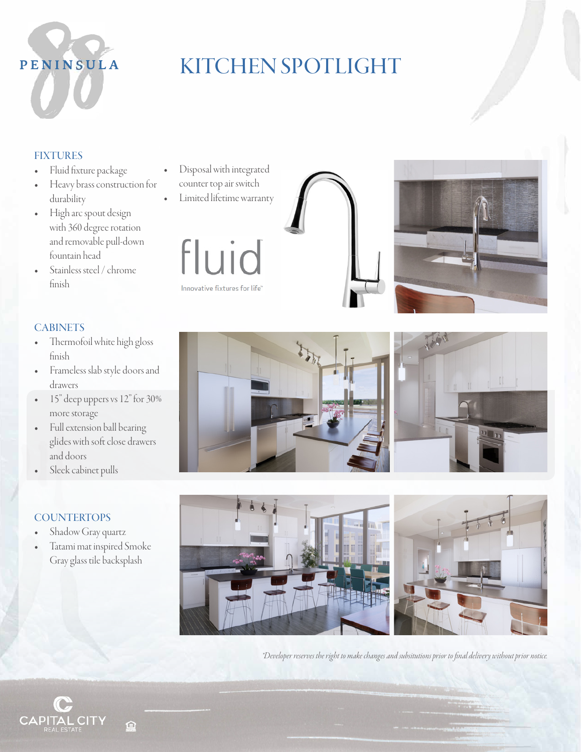

### PENINSULA **KITCHEN SPOTLIGHT**

### FIXTURES

- Fluid fixture package
- Heavy brass construction for durability
- High arc spout design with 360 degree rotation and removable pull-down fountain head
- Stainless steel / chrome finish
- **CABINETS**
- Thermofoil white high gloss finish
- Frameless slab style doors and drawers
- 15" deep uppers vs 12" for 30% more storage
- Full extension ball bearing glides with soft close drawers and doors
- Sleek cabinet pulls

### **COUNTERTOPS**

- Shadow Gray quartz
- Tatami mat inspired Smoke Gray glass tile backsplash
- Disposal with integrated counter top air switch
- Limited lifetime warranty













*\*Developer reserves the right to make changes and subsitutions prior to final delivery without prior notice.*